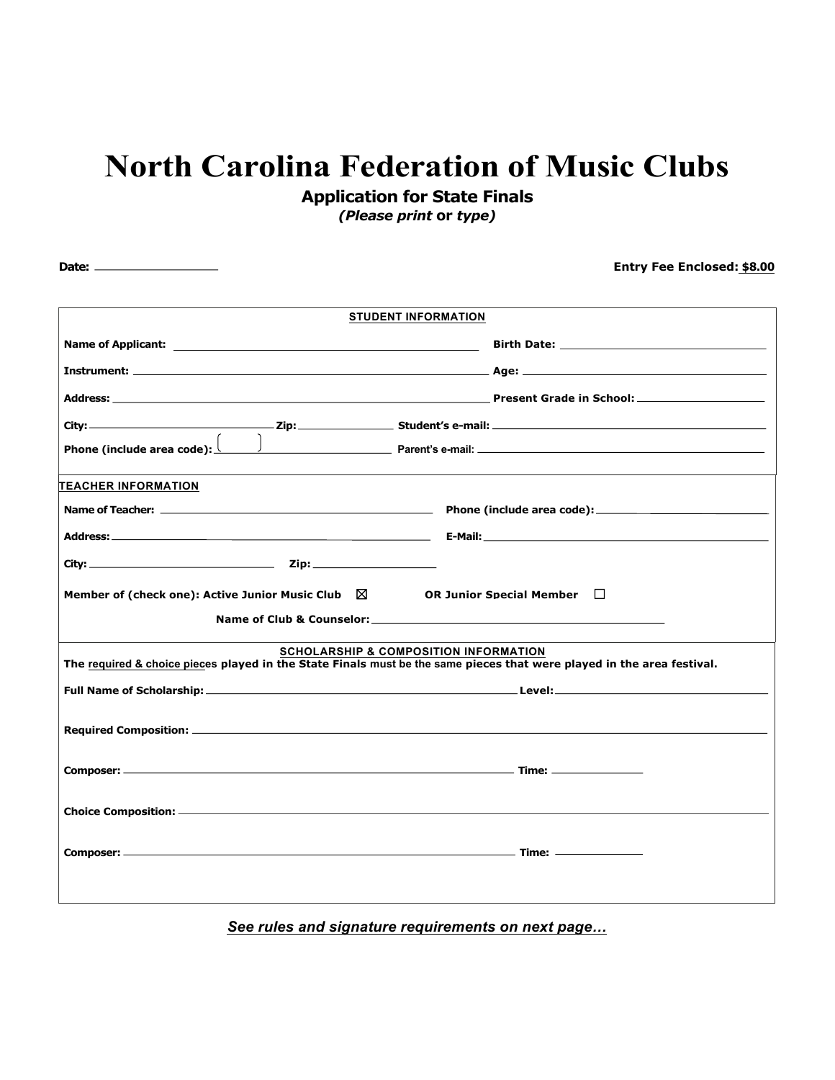## **North Carolina Federation of Music Clubs Application for State Finals**

*(Please print* **or** *type)*

 **Date: Entry Fee Enclosed: \$8.00** *See rules and signature requirements on next page…* **STUDENT INFORMATION Name of Applicant: Birth Date: Instrument: Age: Address: Present Grade in School: City: Zip: Student's e-mail: Phone (include area code): Parent's e-mail: TEACHER INFORMATION Name of Teacher: Phone (include area code): Address: E-Mail: City: Zip: Member of (check one): Active Junior Music Club** ☒ **OR Junior Special Member** ☐ **Name of Club & Counselor: SCHOLARSHIP & COMPOSITION INFORMATION The required & choice pieces played in the State Finals must be the same pieces that were played in the area festival. Full Name of Scholarship: Level: Required Composition: Composer: Time: Choice Composition: Composer: Time:**